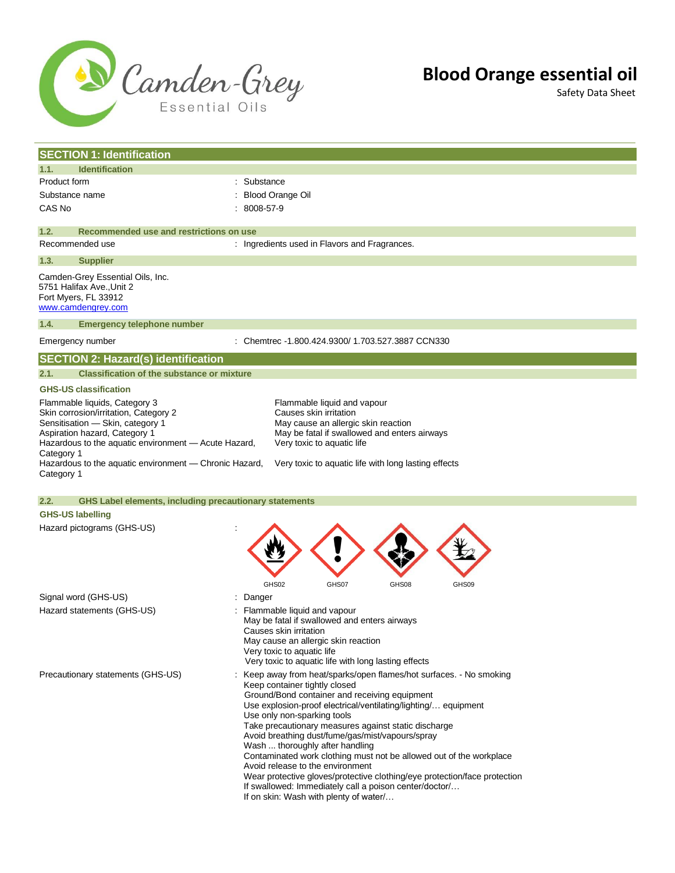

Safety Data Sheet

|                          | <b>SECTION 1: Identification</b>                                                                                                                                                    |                                                                                                                                                                                                                                                                                                                                                                                                                                                                                                                                                                                                                                                                                                   |
|--------------------------|-------------------------------------------------------------------------------------------------------------------------------------------------------------------------------------|---------------------------------------------------------------------------------------------------------------------------------------------------------------------------------------------------------------------------------------------------------------------------------------------------------------------------------------------------------------------------------------------------------------------------------------------------------------------------------------------------------------------------------------------------------------------------------------------------------------------------------------------------------------------------------------------------|
| 1.1.                     | <b>Identification</b>                                                                                                                                                               |                                                                                                                                                                                                                                                                                                                                                                                                                                                                                                                                                                                                                                                                                                   |
| Product form             |                                                                                                                                                                                     | : Substance                                                                                                                                                                                                                                                                                                                                                                                                                                                                                                                                                                                                                                                                                       |
| Substance name           |                                                                                                                                                                                     | Blood Orange Oil                                                                                                                                                                                                                                                                                                                                                                                                                                                                                                                                                                                                                                                                                  |
| CAS No                   |                                                                                                                                                                                     | 8008-57-9                                                                                                                                                                                                                                                                                                                                                                                                                                                                                                                                                                                                                                                                                         |
| 1.2.                     | Recommended use and restrictions on use                                                                                                                                             |                                                                                                                                                                                                                                                                                                                                                                                                                                                                                                                                                                                                                                                                                                   |
| Recommended use          |                                                                                                                                                                                     | : Ingredients used in Flavors and Fragrances.                                                                                                                                                                                                                                                                                                                                                                                                                                                                                                                                                                                                                                                     |
| 1.3.                     | <b>Supplier</b>                                                                                                                                                                     |                                                                                                                                                                                                                                                                                                                                                                                                                                                                                                                                                                                                                                                                                                   |
|                          | Camden-Grey Essential Oils, Inc.<br>5751 Halifax Ave., Unit 2<br>Fort Myers, FL 33912<br>www.camdengrey.com                                                                         |                                                                                                                                                                                                                                                                                                                                                                                                                                                                                                                                                                                                                                                                                                   |
| 1.4.                     | <b>Emergency telephone number</b>                                                                                                                                                   |                                                                                                                                                                                                                                                                                                                                                                                                                                                                                                                                                                                                                                                                                                   |
| Emergency number         |                                                                                                                                                                                     | : Chemtrec -1.800.424.9300/ 1.703.527.3887 CCN330                                                                                                                                                                                                                                                                                                                                                                                                                                                                                                                                                                                                                                                 |
|                          | <b>SECTION 2: Hazard(s) identification</b>                                                                                                                                          |                                                                                                                                                                                                                                                                                                                                                                                                                                                                                                                                                                                                                                                                                                   |
| 2.1.                     | <b>Classification of the substance or mixture</b>                                                                                                                                   |                                                                                                                                                                                                                                                                                                                                                                                                                                                                                                                                                                                                                                                                                                   |
|                          | <b>GHS-US classification</b>                                                                                                                                                        |                                                                                                                                                                                                                                                                                                                                                                                                                                                                                                                                                                                                                                                                                                   |
|                          | Flammable liquids, Category 3<br>Skin corrosion/irritation, Category 2                                                                                                              | Flammable liquid and vapour<br>Causes skin irritation<br>May cause an allergic skin reaction                                                                                                                                                                                                                                                                                                                                                                                                                                                                                                                                                                                                      |
| Category 1<br>Category 1 | Sensitisation - Skin, category 1<br>Aspiration hazard, Category 1<br>Hazardous to the aquatic environment - Acute Hazard,<br>Hazardous to the aquatic environment - Chronic Hazard, | May be fatal if swallowed and enters airways<br>Very toxic to aquatic life<br>Very toxic to aquatic life with long lasting effects                                                                                                                                                                                                                                                                                                                                                                                                                                                                                                                                                                |
| 2.2.                     |                                                                                                                                                                                     |                                                                                                                                                                                                                                                                                                                                                                                                                                                                                                                                                                                                                                                                                                   |
| <b>GHS-US labelling</b>  | <b>GHS Label elements, including precautionary statements</b>                                                                                                                       |                                                                                                                                                                                                                                                                                                                                                                                                                                                                                                                                                                                                                                                                                                   |
|                          |                                                                                                                                                                                     |                                                                                                                                                                                                                                                                                                                                                                                                                                                                                                                                                                                                                                                                                                   |
|                          | Hazard pictograms (GHS-US)                                                                                                                                                          | GHS02<br>GHS07<br>GHS09<br>GHS08                                                                                                                                                                                                                                                                                                                                                                                                                                                                                                                                                                                                                                                                  |
|                          | Signal word (GHS-US)                                                                                                                                                                | : Danger                                                                                                                                                                                                                                                                                                                                                                                                                                                                                                                                                                                                                                                                                          |
|                          | Hazard statements (GHS-US)                                                                                                                                                          | Flammable liquid and vapour<br>May be fatal if swallowed and enters airways<br>Causes skin irritation<br>May cause an allergic skin reaction<br>Very toxic to aquatic life<br>Very toxic to aquatic life with long lasting effects                                                                                                                                                                                                                                                                                                                                                                                                                                                                |
|                          | Precautionary statements (GHS-US)                                                                                                                                                   | : Keep away from heat/sparks/open flames/hot surfaces. - No smoking<br>Keep container tightly closed<br>Ground/Bond container and receiving equipment<br>Use explosion-proof electrical/ventilating/lighting/ equipment<br>Use only non-sparking tools<br>Take precautionary measures against static discharge<br>Avoid breathing dust/fume/gas/mist/vapours/spray<br>Wash  thoroughly after handling<br>Contaminated work clothing must not be allowed out of the workplace<br>Avoid release to the environment<br>Wear protective gloves/protective clothing/eye protection/face protection<br>If swallowed: Immediately call a poison center/doctor/<br>If on skin: Wash with plenty of water/ |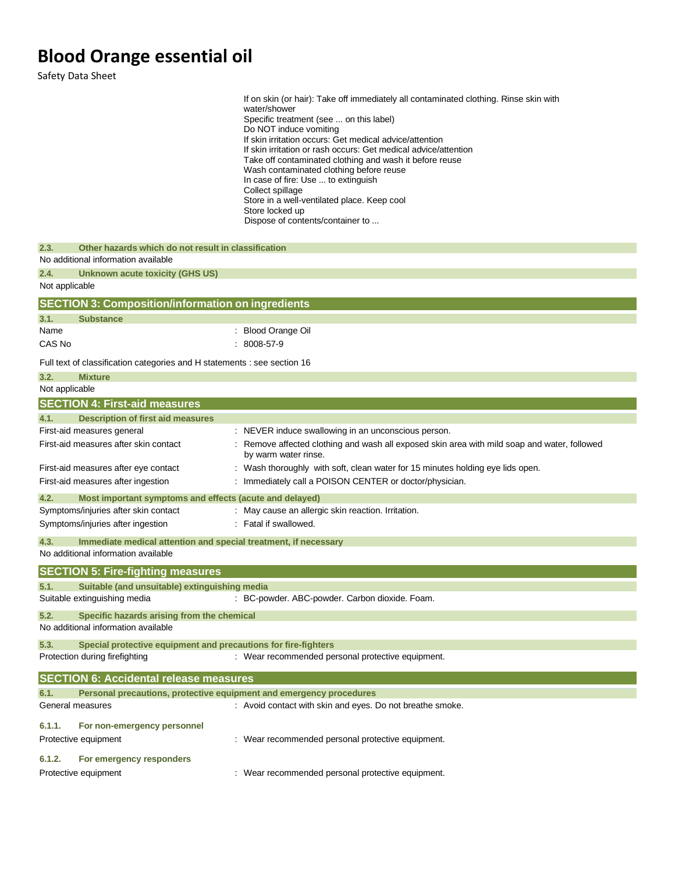Safety Data Sheet

|                                                                                                    | If on skin (or hair): Take off immediately all contaminated clothing. Rinse skin with<br>water/shower<br>Specific treatment (see  on this label)<br>Do NOT induce vomiting<br>If skin irritation occurs: Get medical advice/attention |
|----------------------------------------------------------------------------------------------------|---------------------------------------------------------------------------------------------------------------------------------------------------------------------------------------------------------------------------------------|
|                                                                                                    | If skin irritation or rash occurs: Get medical advice/attention<br>Take off contaminated clothing and wash it before reuse<br>Wash contaminated clothing before reuse<br>In case of fire: Use  to extinguish                          |
|                                                                                                    | Collect spillage<br>Store in a well-ventilated place. Keep cool<br>Store locked up<br>Dispose of contents/container to                                                                                                                |
| 2.3.<br>Other hazards which do not result in classification<br>No additional information available |                                                                                                                                                                                                                                       |
| 2.4.<br><b>Unknown acute toxicity (GHS US)</b><br>Not applicable                                   |                                                                                                                                                                                                                                       |
| <b>SECTION 3: Composition/information on ingredients</b>                                           |                                                                                                                                                                                                                                       |
| 3.1.<br><b>Substance</b>                                                                           |                                                                                                                                                                                                                                       |
| Name<br>CAS No                                                                                     | : Blood Orange Oil<br>$: 8008-57-9$                                                                                                                                                                                                   |
| Full text of classification categories and H statements : see section 16                           |                                                                                                                                                                                                                                       |
| 3.2.<br><b>Mixture</b>                                                                             |                                                                                                                                                                                                                                       |
| Not applicable                                                                                     |                                                                                                                                                                                                                                       |
| <b>SECTION 4: First-aid measures</b>                                                               |                                                                                                                                                                                                                                       |
| <b>Description of first aid measures</b><br>4.1.                                                   |                                                                                                                                                                                                                                       |
| First-aid measures general<br>First-aid measures after skin contact                                | : NEVER induce swallowing in an unconscious person.<br>: Remove affected clothing and wash all exposed skin area with mild soap and water, followed<br>by warm water rinse.                                                           |
| First-aid measures after eye contact<br>First-aid measures after ingestion                         | : Wash thoroughly with soft, clean water for 15 minutes holding eye lids open.<br>: Immediately call a POISON CENTER or doctor/physician.                                                                                             |
| 4.2.<br>Most important symptoms and effects (acute and delayed)                                    |                                                                                                                                                                                                                                       |
| Symptoms/injuries after skin contact                                                               | : May cause an allergic skin reaction. Irritation.                                                                                                                                                                                    |
| Symptoms/injuries after ingestion                                                                  | : Fatal if swallowed.                                                                                                                                                                                                                 |
| 4.3.<br>No additional information available                                                        | Immediate medical attention and special treatment, if necessary                                                                                                                                                                       |
| <b>SECTION 5: Fire-fighting measures</b>                                                           |                                                                                                                                                                                                                                       |
| 5.1.<br>Suitable (and unsuitable) extinguishing media<br>Suitable extinguishing media              | : BC-powder. ABC-powder. Carbon dioxide. Foam.                                                                                                                                                                                        |
| 5.2.<br>Specific hazards arising from the chemical<br>No additional information available          |                                                                                                                                                                                                                                       |
| 5.3.<br>Protection during firefighting                                                             | Special protective equipment and precautions for fire-fighters<br>: Wear recommended personal protective equipment.                                                                                                                   |
|                                                                                                    |                                                                                                                                                                                                                                       |
| <b>SECTION 6: Accidental release measures</b>                                                      |                                                                                                                                                                                                                                       |
| 6.1.                                                                                               | Personal precautions, protective equipment and emergency procedures<br>: Avoid contact with skin and eyes. Do not breathe smoke.                                                                                                      |
| General measures<br>6.1.1.<br>For non-emergency personnel                                          |                                                                                                                                                                                                                                       |
| Protective equipment                                                                               | : Wear recommended personal protective equipment.                                                                                                                                                                                     |
| For emergency responders<br>6.1.2.                                                                 |                                                                                                                                                                                                                                       |
| Protective equipment                                                                               | : Wear recommended personal protective equipment.                                                                                                                                                                                     |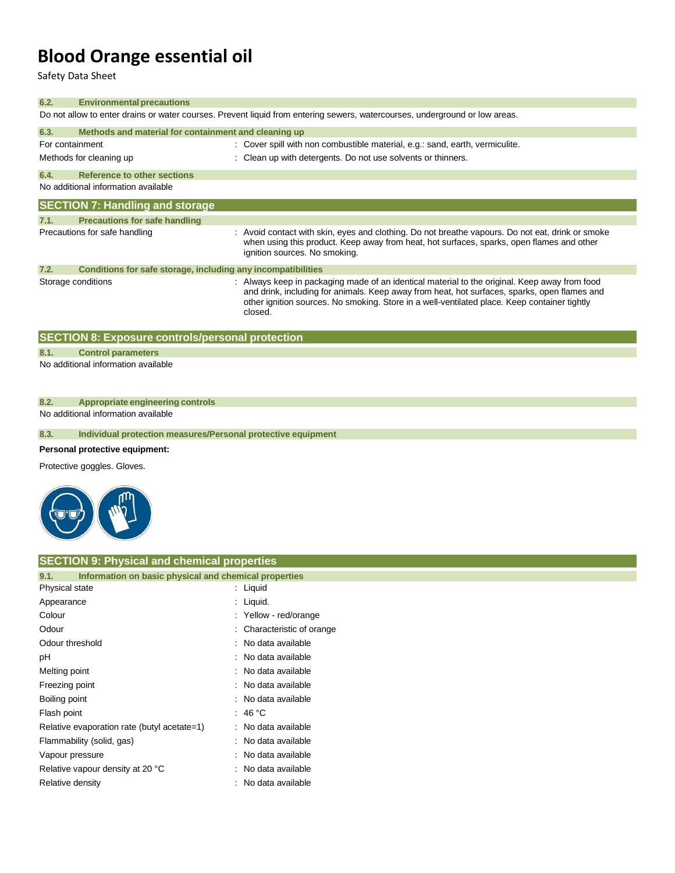Safety Data Sheet

| 6.2.                                                                                                                        | <b>Environmental precautions</b>                             |                                                                                                                                                                                                                                                                                                          |  |
|-----------------------------------------------------------------------------------------------------------------------------|--------------------------------------------------------------|----------------------------------------------------------------------------------------------------------------------------------------------------------------------------------------------------------------------------------------------------------------------------------------------------------|--|
| Do not allow to enter drains or water courses. Prevent liquid from entering sewers, watercourses, underground or low areas. |                                                              |                                                                                                                                                                                                                                                                                                          |  |
| 6.3.                                                                                                                        | Methods and material for containment and cleaning up         |                                                                                                                                                                                                                                                                                                          |  |
| For containment                                                                                                             |                                                              | : Cover spill with non combustible material, e.g.: sand, earth, vermiculite.                                                                                                                                                                                                                             |  |
|                                                                                                                             | Methods for cleaning up                                      | : Clean up with detergents. Do not use solvents or thinners.                                                                                                                                                                                                                                             |  |
| 6.4.                                                                                                                        | Reference to other sections                                  |                                                                                                                                                                                                                                                                                                          |  |
|                                                                                                                             | No additional information available                          |                                                                                                                                                                                                                                                                                                          |  |
|                                                                                                                             | <b>SECTION 7: Handling and storage</b>                       |                                                                                                                                                                                                                                                                                                          |  |
| 7.1.                                                                                                                        | <b>Precautions for safe handling</b>                         |                                                                                                                                                                                                                                                                                                          |  |
|                                                                                                                             | Precautions for safe handling                                | : Avoid contact with skin, eyes and clothing. Do not breathe vapours. Do not eat, drink or smoke<br>when using this product. Keep away from heat, hot surfaces, sparks, open flames and other<br>ignition sources. No smoking.                                                                           |  |
| 7.2.                                                                                                                        | Conditions for safe storage, including any incompatibilities |                                                                                                                                                                                                                                                                                                          |  |
|                                                                                                                             | Storage conditions                                           | : Always keep in packaging made of an identical material to the original. Keep away from food<br>and drink, including for animals. Keep away from heat, hot surfaces, sparks, open flames and<br>other ignition sources. No smoking. Store in a well-ventilated place. Keep container tightly<br>closed. |  |

| <b>SECTION 8: Exposure controls/personal protection</b> |                                  |  |
|---------------------------------------------------------|----------------------------------|--|
| 8.1.                                                    | <b>Control parameters</b>        |  |
| No additional information available                     |                                  |  |
|                                                         |                                  |  |
|                                                         |                                  |  |
| 8.2.                                                    | Appropriate engineering controls |  |

No additional information available

**8.3. Individual protection measures/Personal protective equipment**

#### **Personal protective equipment:**

Protective goggles. Gloves.



#### **SECTION 9: Physical and chemical properties**

| Information on basic physical and chemical properties<br>9.1. |                            |
|---------------------------------------------------------------|----------------------------|
| Physical state                                                | : Liquid                   |
| Appearance                                                    | : Liquid.                  |
| Colour                                                        | : Yellow - red/orange      |
| Odour                                                         | : Characteristic of orange |
| Odour threshold                                               | : No data available        |
| рH                                                            | : No data available        |
| Melting point                                                 | : No data available        |
| Freezing point                                                | : No data available        |
| Boiling point                                                 | : No data available        |
| Flash point                                                   | : 46 °C                    |
| Relative evaporation rate (butyl acetate=1)                   | : No data available        |
| Flammability (solid, gas)                                     | : No data available        |
| Vapour pressure                                               | : No data available        |
| Relative vapour density at 20 °C                              | : No data available        |
| Relative density                                              | : No data available        |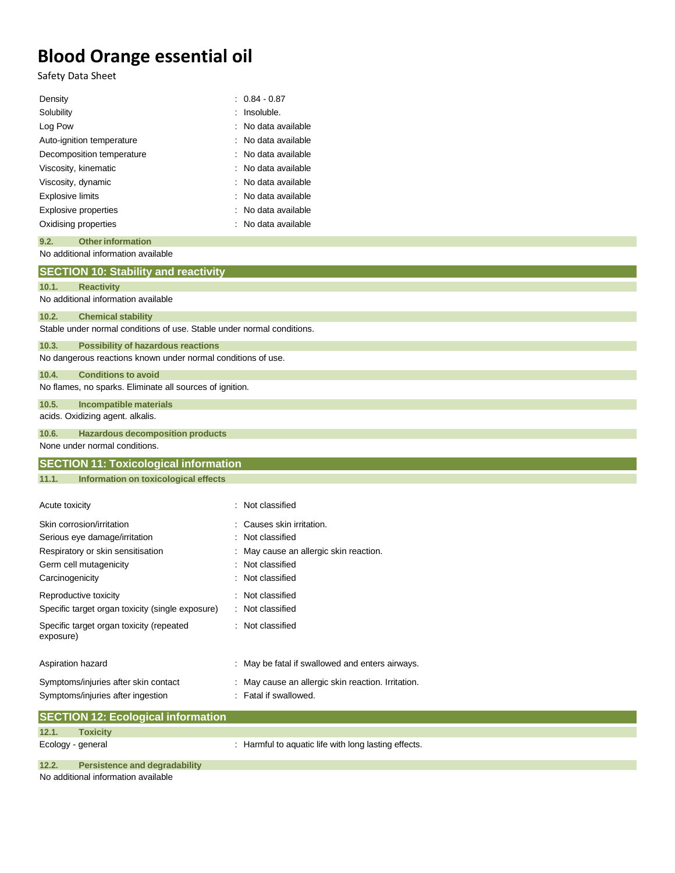Safety Data Sheet

| $: 0.84 - 0.87$<br>Density                                             |                                      |  |  |
|------------------------------------------------------------------------|--------------------------------------|--|--|
| Solubility                                                             | : Insoluble.                         |  |  |
| Log Pow                                                                | No data available                    |  |  |
| Auto-ignition temperature                                              | No data available                    |  |  |
| Decomposition temperature                                              | No data available                    |  |  |
| Viscosity, kinematic                                                   | No data available                    |  |  |
| Viscosity, dynamic                                                     | No data available                    |  |  |
| <b>Explosive limits</b>                                                | No data available                    |  |  |
| Explosive properties                                                   | No data available                    |  |  |
| Oxidising properties                                                   | No data available                    |  |  |
| 9.2.<br><b>Other information</b>                                       |                                      |  |  |
| No additional information available                                    |                                      |  |  |
| <b>SECTION 10: Stability and reactivity</b>                            |                                      |  |  |
| 10.1.<br><b>Reactivity</b>                                             |                                      |  |  |
| No additional information available                                    |                                      |  |  |
| 10.2.<br><b>Chemical stability</b>                                     |                                      |  |  |
| Stable under normal conditions of use. Stable under normal conditions. |                                      |  |  |
| 10.3.<br><b>Possibility of hazardous reactions</b>                     |                                      |  |  |
| No dangerous reactions known under normal conditions of use.           |                                      |  |  |
| 10.4.<br><b>Conditions to avoid</b>                                    |                                      |  |  |
| No flames, no sparks. Eliminate all sources of ignition.               |                                      |  |  |
| 10.5.<br><b>Incompatible materials</b>                                 |                                      |  |  |
| acids. Oxidizing agent. alkalis.                                       |                                      |  |  |
| 10.6.<br><b>Hazardous decomposition products</b>                       |                                      |  |  |
| None under normal conditions.                                          |                                      |  |  |
| <b>SECTION 11: Toxicological information</b>                           |                                      |  |  |
| 11.1.<br>Information on toxicological effects                          |                                      |  |  |
|                                                                        |                                      |  |  |
| Acute toxicity                                                         | : Not classified                     |  |  |
| Skin corrosion/irritation                                              | Causes skin irritation.              |  |  |
| Serious eye damage/irritation                                          | Not classified                       |  |  |
| Respiratory or skin sensitisation                                      | May cause an allergic skin reaction. |  |  |
| Germ cell mutagenicity                                                 | Not classified                       |  |  |
| Carcinogenicity                                                        | : Not classified                     |  |  |
|                                                                        |                                      |  |  |

Reproductive toxicity in the set of the Reproductive toxicity in the set of the Reproductive toxicity Specific target organ toxicity (single exposure) : Not classified Specific target organ toxicity (repeated exposure) : Not classified Aspiration hazard **in the state of the state of the state of the state of the state of the state of the state of the state of the state of the state of the state of the state of the state of the state of the state of the s** 

Symptoms/injuries after skin contact : May cause an allergic skin reaction. Irritation. Symptoms/injuries after ingestion : Fatal if swallowed.

|                   | <b>SECTION 12: Ecological information</b> |                                                      |
|-------------------|-------------------------------------------|------------------------------------------------------|
| 12.1.             | <b>Toxicity</b>                           |                                                      |
| Ecology - general |                                           | : Harmful to aquatic life with long lasting effects. |
| 12.2.             | <b>Persistence and degradability</b>      |                                                      |
|                   |                                           |                                                      |

No additional information available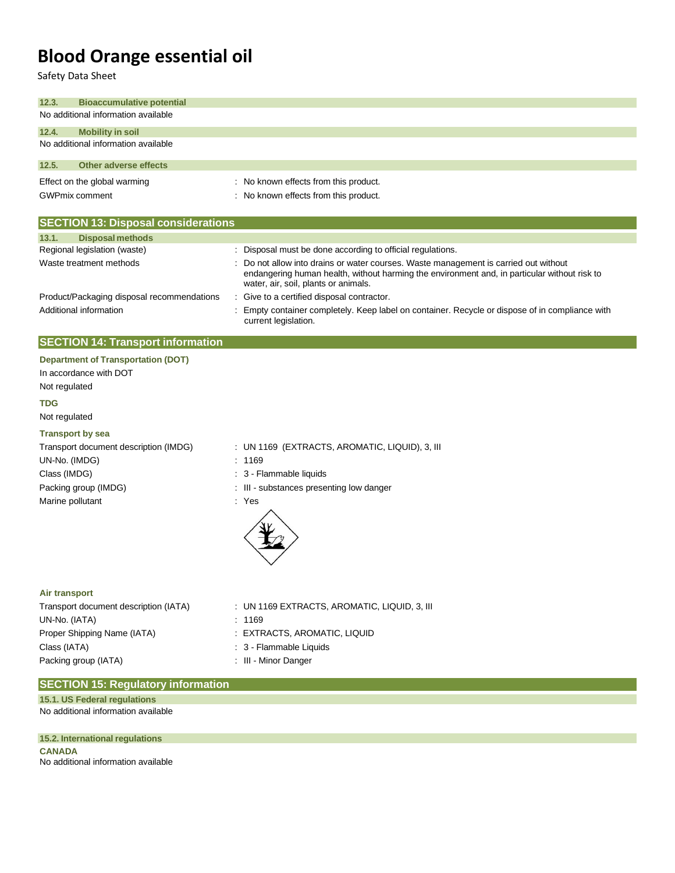| Safety Data Sheet                          |                                                                                                                                                                                                                            |
|--------------------------------------------|----------------------------------------------------------------------------------------------------------------------------------------------------------------------------------------------------------------------------|
| 12.3.<br><b>Bioaccumulative potential</b>  |                                                                                                                                                                                                                            |
| No additional information available        |                                                                                                                                                                                                                            |
| 12.4.<br><b>Mobility in soil</b>           |                                                                                                                                                                                                                            |
| No additional information available        |                                                                                                                                                                                                                            |
| 12.5.<br><b>Other adverse effects</b>      |                                                                                                                                                                                                                            |
| Effect on the global warming               | : No known effects from this product.                                                                                                                                                                                      |
| <b>GWPmix comment</b>                      | : No known effects from this product.                                                                                                                                                                                      |
| <b>SECTION 13: Disposal considerations</b> |                                                                                                                                                                                                                            |
| 13.1.<br><b>Disposal methods</b>           |                                                                                                                                                                                                                            |
| Regional legislation (waste)               | : Disposal must be done according to official regulations.                                                                                                                                                                 |
| Waste treatment methods                    | Do not allow into drains or water courses. Waste management is carried out without<br>endangering human health, without harming the environment and, in particular without risk to<br>water, air, soil, plants or animals. |
| Product/Packaging disposal recommendations | : Give to a certified disposal contractor.                                                                                                                                                                                 |
| Additional information                     | Empty container completely. Keep label on container. Recycle or dispose of in compliance with<br>current legislation.                                                                                                      |
| <b>SECTION 14: Transport information</b>   |                                                                                                                                                                                                                            |
| <b>Department of Transportation (DOT)</b>  |                                                                                                                                                                                                                            |
| In accordance with DOT                     |                                                                                                                                                                                                                            |
| Not regulated                              |                                                                                                                                                                                                                            |
| <b>TDG</b>                                 |                                                                                                                                                                                                                            |
| Not regulated                              |                                                                                                                                                                                                                            |
| <b>Transport by sea</b>                    |                                                                                                                                                                                                                            |
| Transport document description (IMDG)      | : UN 1169 (EXTRACTS, AROMATIC, LIQUID), 3, III                                                                                                                                                                             |
| UN-No. (IMDG)                              | : 1169                                                                                                                                                                                                                     |
| Class (IMDG)                               | : 3 - Flammable liquids                                                                                                                                                                                                    |
| Packing group (IMDG)                       | : III - substances presenting low danger                                                                                                                                                                                   |
| Marine pollutant                           | : Yes                                                                                                                                                                                                                      |
| Air transport                              |                                                                                                                                                                                                                            |
| Transport document description (IATA)      | : UN 1169 EXTRACTS, AROMATIC, LIQUID, 3, III                                                                                                                                                                               |
| UN-No. (IATA)                              | 1169                                                                                                                                                                                                                       |

Proper Shipping Name (IATA) : EXTRACTS, AROMATIC, LIQUID Class (IATA)  $\qquad \qquad : 3$  - Flammable Liquids Packing group (IATA)  $\qquad \qquad$ : III - Minor Danger

- -
	-
	-

### **SECTION 15: Regulatory information**

No additional information available **15.1. US Federal regulations**

**15.2. International regulations**

**CANADA** No additional information available